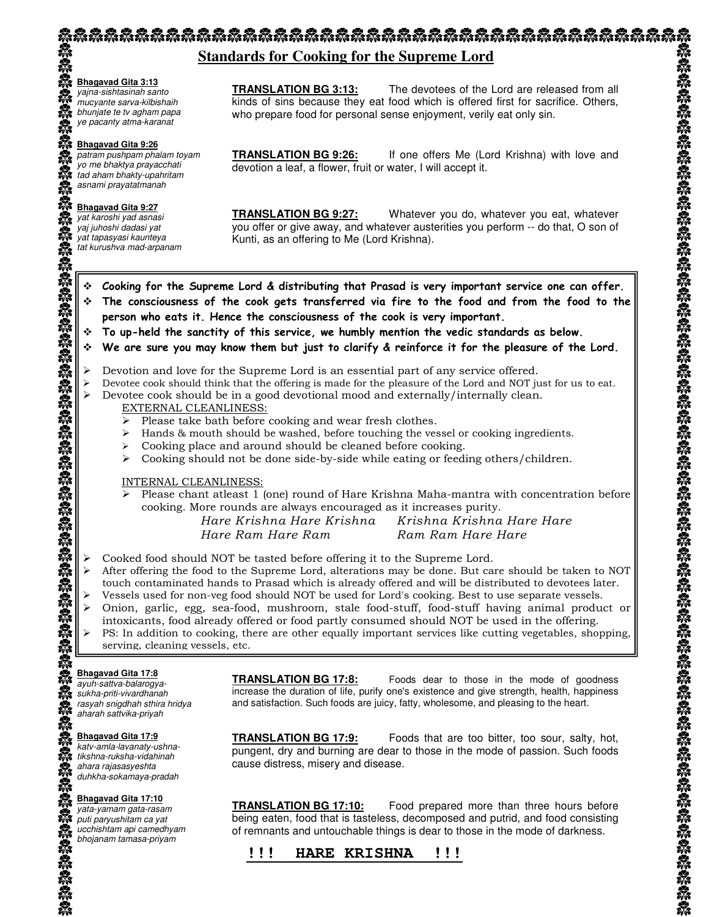## **Standards for Cooking for the Supreme Lord**

#### **Bhagavad Gita 3:13**

yajna-sishtasinah santo mucyante sarva-kilbishaih bhunjate te tv agham papa ye pacanty atma-karanat

#### **Bhagavad Gita 9:26**

patram pushpam phalam toyam yo me bhaktya prayacchati tad aham bhakty-upahritam asnami prayatatmanah

#### **Bhagavad Gita 9:27**

yat karoshi yad asnasi yaj juhoshi dadasi yat yat tapasyasi kaunteya tat kurushva mad-arpanam **TRANSLATION BG 3:13:** The devotees of the Lord are released from all kinds of sins because they eat food which is offered first for sacrifice. Others, who prepare food for personal sense enjoyment, verily eat only sin.

**TRANSLATION BG 9:26:** If one offers Me (Lord Krishna) with love and devotion a leaf, a flower, fruit or water, I will accept it.

**TRANSLATION BG 9:27:** Whatever you do, whatever you eat, whatever you offer or give away, and whatever austerities you perform -- do that, O son of Kunti, as an offering to Me (Lord Krishna).

#### Cooking for the Supreme Lord & distributing that Prasad is very important service one can offer.

- The consciousness of the cook gets transferred via fire to the food and from the food to the person who eats it. Hence the consciousness of the cook is very important.
- To up-held the sanctity of this service, we humbly mention the vedic standards as below.
- We are sure you may know them but just to clarify & reinforce it for the pleasure of the Lord.
- 
- ► Devotion and love for the Supreme Lord is an essential part of any service offered. \n> Devotee cook should think that the offering is made for the pleasure of the Lord and NOT just for us to eat. \n> Devote cook should be in a good devotional mood and externally/internally clean.
- 

#### EXTERNAL CLEANLINESS:

- > Please take bath before cooking and wear fresh clothes.
- > Hands & mouth should be washed, before touching the vessel or cooking ingredients.
- > Cooking place and around should be cleaned before cooking.
- > Cooking should not be done side-by-side while eating or feeding others/children.

#### INTERNAL CLEANLINESS:

Please chant atleast  $1$  (one) round of Hare Krishna Maha-mantra with concentration before cooking. More rounds are always encouraged as it increases purity.

Hare Krishna Hare Krishna Krishna Krishna Hare Hare Hare Ram Hare Ram Ram Ram Hare Hare

- > Cooked food should NOT be tasted before offering it to the Supreme Lord.
- > After offering the food to the Supreme Lord, alterations may be done. But care should be taken to NOT touch contaminated hands to Prasad which is already offered and will be distributed to devotees later.
- Vessels used for non-veg food should NOT be used for Lord's cooking. Best to use separate vessels.
- > Onion, garlic, egg, sea-food, mushroom, stale food-stuff, food-stuff having animal product or intoxicants, food already offered or food partly consumed should NOT be used in the offering.
- > PS: In addition to cooking, there are other equally important services like cutting vegetables, shopping, serving, cleaning vessels, etc.

#### **Bhagavad Gita 17:8**

ayuh-sattva-balarogyasukha-priti-vivardhanah rasyah snigdhah sthira hridya aharah sattvika-priyah

#### **Bhagavad Gita 17:9**

katv-amla-lavanaty-ushnatikshna-ruksha-vidahinah ahara rajasasyeshta duhkha-sokamaya-pradah

#### **Bhagavad Gita 17:10**

yata-yamam gata-rasam puti paryushitam ca yat ucchishtam api camedhyam **TRANSLATION BG 17:8:** Foods dear to those in the mode of goodness increase the duration of life, purify one's existence and give strength, health, happiness and satisfaction. Such foods are juicy, fatty, wholesome, and pleasing to the heart.

**TRANSLATION BG 17:9:** Foods that are too bitter, too sour, salty, hot, pungent, dry and burning are dear to those in the mode of passion. Such foods cause distress, misery and disease.

**TRANSLATION BG 17:10:** Food prepared more than three hours before being eaten, food that is tasteless, decomposed and putrid, and food consisting of remnants and untouchable things is dear to those in the mode of darkness.

## bhojanam tamasa-priyam **!!! HARE KRISHNA !!!**